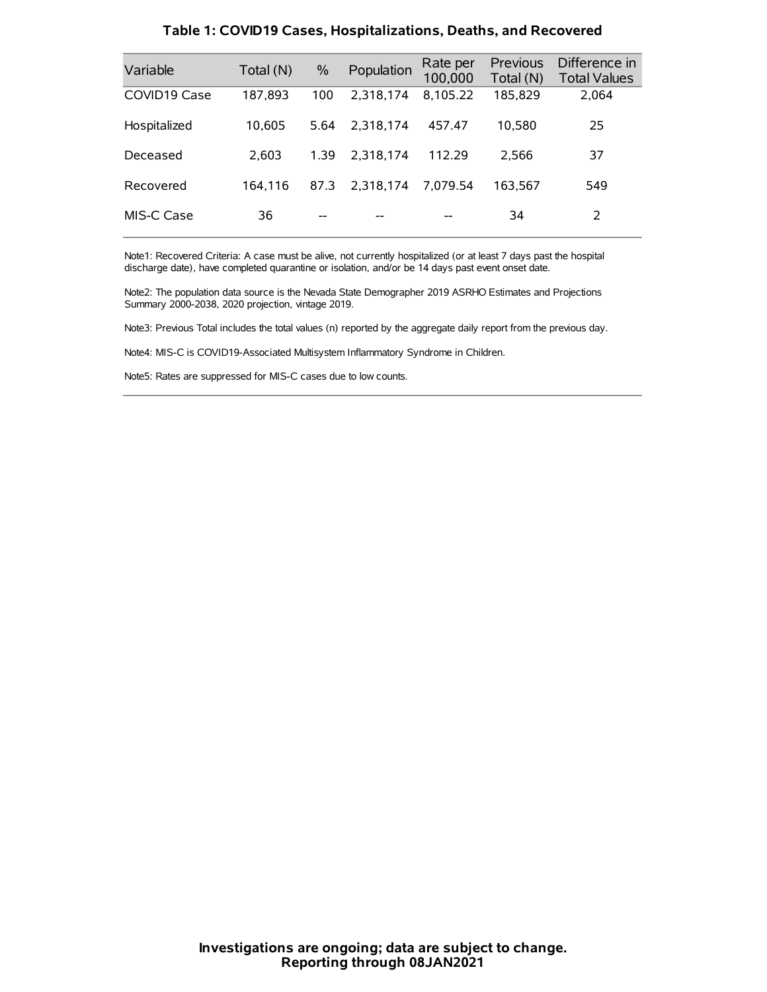| Variable     | Total (N) | $\frac{0}{0}$ | Population | Rate per<br>100,000 | Previous<br>Total (N) | Difference in<br><b>Total Values</b> |
|--------------|-----------|---------------|------------|---------------------|-----------------------|--------------------------------------|
| COVID19 Case | 187,893   | 100           | 2.318.174  | 8,105.22            | 185,829               | 2,064                                |
| Hospitalized | 10.605    | 5.64          | 2.318.174  | 457.47              | 10.580                | 25                                   |
| Deceased     | 2.603     | 1.39          | 2,318,174  | 112.29              | 2.566                 | 37                                   |
| Recovered    | 164.116   | 87.3          | 2.318.174  | 7.079.54            | 163.567               | 549                                  |
| MIS-C Case   | 36        | --            |            |                     | 34                    | 2                                    |

#### **Table 1: COVID19 Cases, Hospitalizations, Deaths, and Recovered**

Note1: Recovered Criteria: A case must be alive, not currently hospitalized (or at least 7 days past the hospital discharge date), have completed quarantine or isolation, and/or be 14 days past event onset date.

Note2: The population data source is the Nevada State Demographer 2019 ASRHO Estimates and Projections Summary 2000-2038, 2020 projection, vintage 2019.

Note3: Previous Total includes the total values (n) reported by the aggregate daily report from the previous day.

Note4: MIS-C is COVID19-Associated Multisystem Inflammatory Syndrome in Children.

Note5: Rates are suppressed for MIS-C cases due to low counts.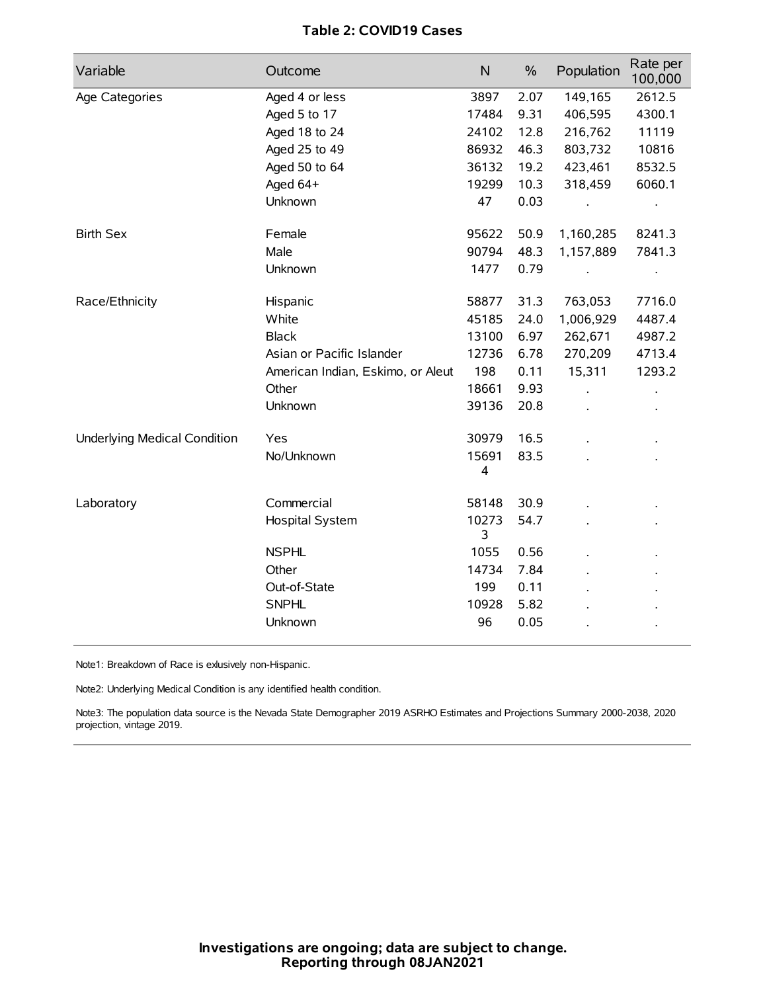# **Table 2: COVID19 Cases**

| Variable                            | Outcome                           | N          | $\%$ | Population | Rate per<br>100,000 |
|-------------------------------------|-----------------------------------|------------|------|------------|---------------------|
| Age Categories                      | Aged 4 or less                    | 3897       | 2.07 | 149,165    | 2612.5              |
|                                     | Aged 5 to 17                      | 17484      | 9.31 | 406,595    | 4300.1              |
|                                     | Aged 18 to 24                     | 24102      | 12.8 | 216,762    | 11119               |
|                                     | Aged 25 to 49                     | 86932      | 46.3 | 803,732    | 10816               |
|                                     | Aged 50 to 64                     | 36132      | 19.2 | 423,461    | 8532.5              |
|                                     | Aged 64+                          | 19299      | 10.3 | 318,459    | 6060.1              |
|                                     | Unknown                           | 47         | 0.03 |            | $\bullet$           |
| <b>Birth Sex</b>                    | Female                            | 95622      | 50.9 | 1,160,285  | 8241.3              |
|                                     | Male                              | 90794      | 48.3 | 1,157,889  | 7841.3              |
|                                     | Unknown                           | 1477       | 0.79 |            | $\bullet$           |
| Race/Ethnicity                      | Hispanic                          | 58877      | 31.3 | 763,053    | 7716.0              |
|                                     | White                             | 45185      | 24.0 | 1,006,929  | 4487.4              |
|                                     | <b>Black</b>                      | 13100      | 6.97 | 262,671    | 4987.2              |
|                                     | Asian or Pacific Islander         | 12736      | 6.78 | 270,209    | 4713.4              |
|                                     | American Indian, Eskimo, or Aleut | 198        | 0.11 | 15,311     | 1293.2              |
|                                     | Other                             | 18661      | 9.93 |            |                     |
|                                     | Unknown                           | 39136      | 20.8 |            |                     |
| <b>Underlying Medical Condition</b> | Yes                               | 30979      | 16.5 |            |                     |
|                                     | No/Unknown                        | 15691<br>4 | 83.5 |            |                     |
| Laboratory                          | Commercial                        | 58148      | 30.9 |            |                     |
|                                     | Hospital System                   | 10273<br>3 | 54.7 |            |                     |
|                                     | <b>NSPHL</b>                      | 1055       | 0.56 |            |                     |
|                                     | Other                             | 14734      | 7.84 |            |                     |
|                                     | Out-of-State                      | 199        | 0.11 |            |                     |
|                                     | <b>SNPHL</b>                      | 10928      | 5.82 |            |                     |
|                                     | Unknown                           | 96         | 0.05 |            |                     |

Note1: Breakdown of Race is exlusively non-Hispanic.

Note2: Underlying Medical Condition is any identified health condition.

Note3: The population data source is the Nevada State Demographer 2019 ASRHO Estimates and Projections Summary 2000-2038, 2020 projection, vintage 2019.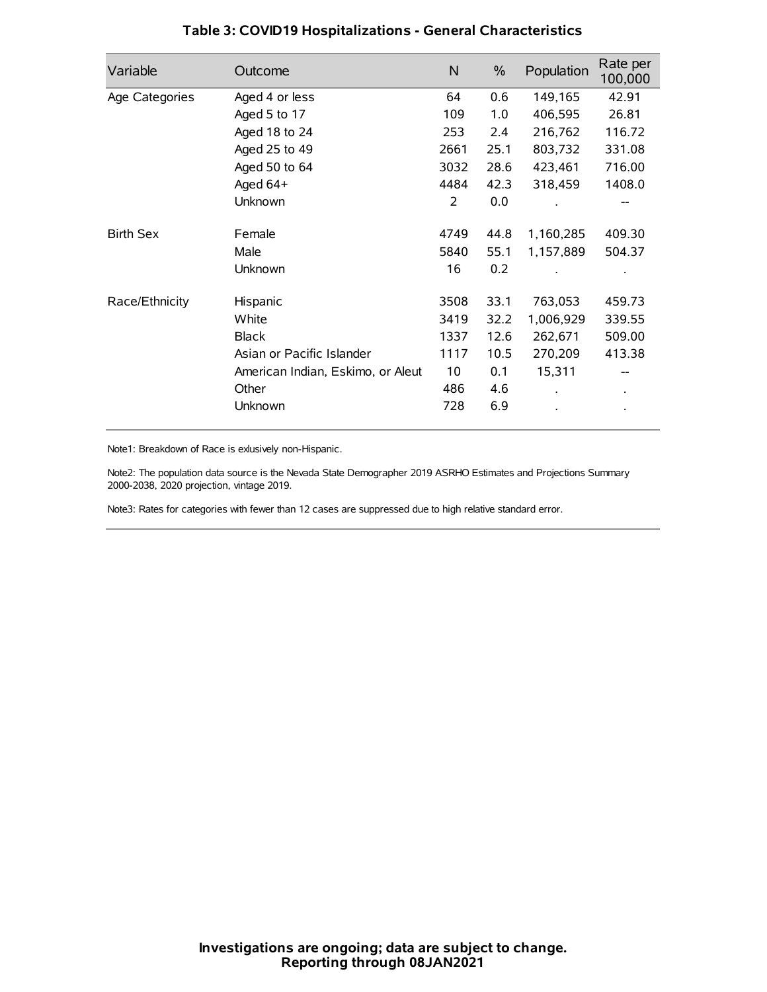| Variable         | Outcome                           | $\mathsf{N}$ | $\%$ | Population | Rate per<br>100,000 |
|------------------|-----------------------------------|--------------|------|------------|---------------------|
| Age Categories   | Aged 4 or less                    | 64           | 0.6  | 149,165    | 42.91               |
|                  | Aged 5 to 17                      | 109          | 1.0  | 406,595    | 26.81               |
|                  | Aged 18 to 24                     | 253          | 2.4  | 216,762    | 116.72              |
|                  | Aged 25 to 49                     | 2661         | 25.1 | 803,732    | 331.08              |
|                  | Aged 50 to 64                     | 3032         | 28.6 | 423,461    | 716.00              |
|                  | Aged 64+                          | 4484         | 42.3 | 318,459    | 1408.0              |
|                  | Unknown                           | 2            | 0.0  |            |                     |
| <b>Birth Sex</b> | Female                            | 4749         | 44.8 | 1,160,285  | 409.30              |
|                  | Male                              | 5840         | 55.1 | 1,157,889  | 504.37              |
|                  | Unknown                           | 16           | 0.2  |            |                     |
| Race/Ethnicity   | Hispanic                          | 3508         | 33.1 | 763,053    | 459.73              |
|                  | White                             | 3419         | 32.2 | 1,006,929  | 339.55              |
|                  | <b>Black</b>                      | 1337         | 12.6 | 262,671    | 509.00              |
|                  | Asian or Pacific Islander         | 1117         | 10.5 | 270,209    | 413.38              |
|                  | American Indian, Eskimo, or Aleut | 10           | 0.1  | 15,311     |                     |
|                  | Other                             | 486          | 4.6  |            |                     |
|                  | Unknown                           | 728          | 6.9  |            |                     |

# **Table 3: COVID19 Hospitalizations - General Characteristics**

Note1: Breakdown of Race is exlusively non-Hispanic.

Note2: The population data source is the Nevada State Demographer 2019 ASRHO Estimates and Projections Summary 2000-2038, 2020 projection, vintage 2019.

Note3: Rates for categories with fewer than 12 cases are suppressed due to high relative standard error.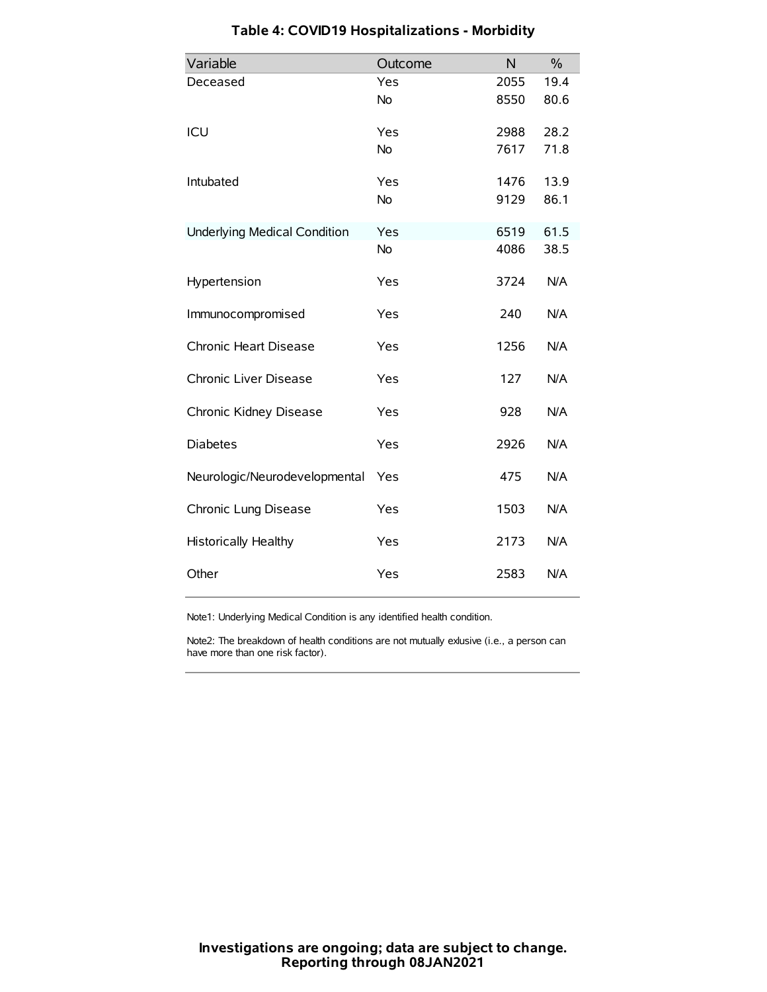| Variable                            | Outcome   | N    | $\frac{0}{0}$ |
|-------------------------------------|-----------|------|---------------|
| Deceased                            | Yes       | 2055 | 19.4          |
|                                     | No        | 8550 | 80.6          |
| ICU                                 | Yes       | 2988 | 28.2          |
|                                     | <b>No</b> | 7617 | 71.8          |
| Intubated                           | Yes       | 1476 | 13.9          |
|                                     | No        | 9129 | 86.1          |
| <b>Underlying Medical Condition</b> | Yes       | 6519 | 61.5          |
|                                     | No        | 4086 | 38.5          |
| Hypertension                        | Yes       | 3724 | N/A           |
| Immunocompromised                   | Yes       | 240  | N/A           |
| Chronic Heart Disease               | Yes       | 1256 | N/A           |
| Chronic Liver Disease               | Yes       | 127  | N/A           |
| Chronic Kidney Disease              | Yes       | 928  | N/A           |
| <b>Diabetes</b>                     | Yes       | 2926 | N/A           |
| Neurologic/Neurodevelopmental       | Yes       | 475  | N/A           |
| Chronic Lung Disease                | Yes       | 1503 | N/A           |
| <b>Historically Healthy</b>         | Yes       | 2173 | N/A           |
| Other                               | Yes       | 2583 | N/A           |

# **Table 4: COVID19 Hospitalizations - Morbidity**

Note1: Underlying Medical Condition is any identified health condition.

Note2: The breakdown of health conditions are not mutually exlusive (i.e., a person can have more than one risk factor).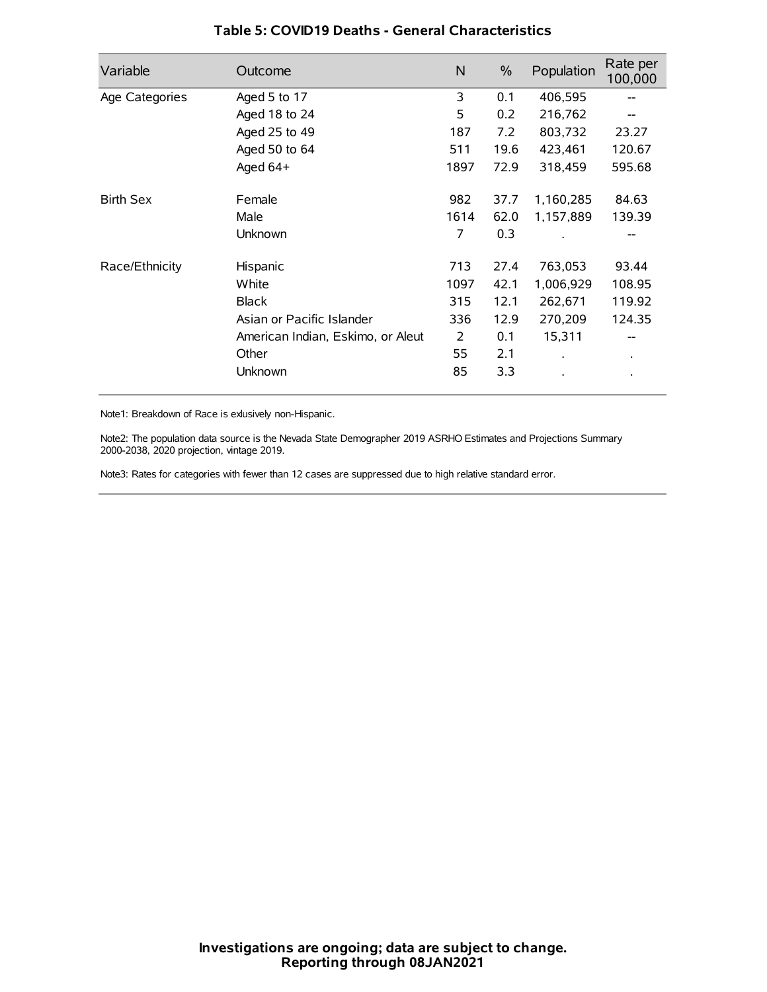| Variable         | Outcome                           | N    | $\%$ | Population | Rate per<br>100,000 |
|------------------|-----------------------------------|------|------|------------|---------------------|
| Age Categories   | Aged 5 to 17                      | 3    | 0.1  | 406,595    | --                  |
|                  | Aged 18 to 24                     | 5    | 0.2  | 216,762    |                     |
|                  | Aged 25 to 49                     | 187  | 7.2  | 803,732    | 23.27               |
|                  | Aged 50 to 64                     | 511  | 19.6 | 423,461    | 120.67              |
|                  | Aged $64+$                        | 1897 | 72.9 | 318,459    | 595.68              |
| <b>Birth Sex</b> | Female                            | 982  | 37.7 | 1,160,285  | 84.63               |
|                  | Male                              | 1614 | 62.0 | 1,157,889  | 139.39              |
|                  | Unknown                           | 7    | 0.3  |            |                     |
| Race/Ethnicity   | Hispanic                          | 713  | 27.4 | 763,053    | 93.44               |
|                  | White                             | 1097 | 42.1 | 1,006,929  | 108.95              |
|                  | <b>Black</b>                      | 315  | 12.1 | 262,671    | 119.92              |
|                  | Asian or Pacific Islander         | 336  | 12.9 | 270,209    | 124.35              |
|                  | American Indian, Eskimo, or Aleut | 2    | 0.1  | 15,311     |                     |
|                  | Other                             | 55   | 2.1  |            | $\bullet$           |
|                  | Unknown                           | 85   | 3.3  |            |                     |

## **Table 5: COVID19 Deaths - General Characteristics**

Note1: Breakdown of Race is exlusively non-Hispanic.

Note2: The population data source is the Nevada State Demographer 2019 ASRHO Estimates and Projections Summary 2000-2038, 2020 projection, vintage 2019.

Note3: Rates for categories with fewer than 12 cases are suppressed due to high relative standard error.